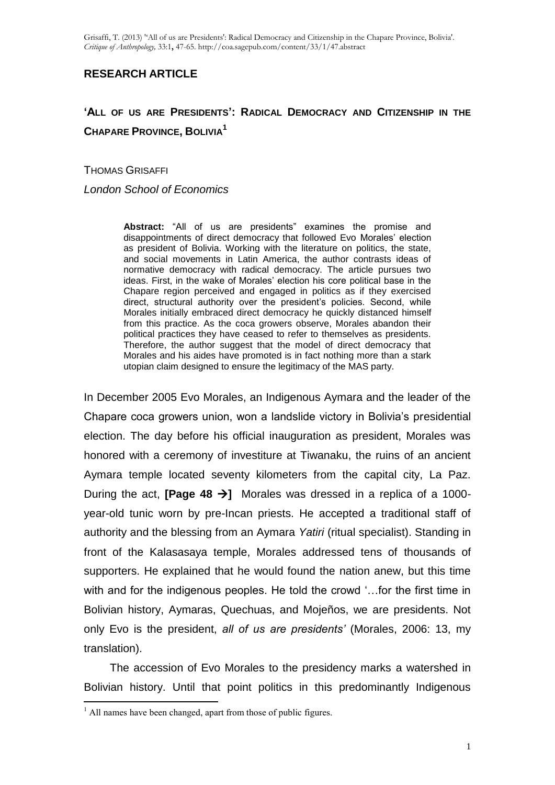## **RESEARCH ARTICLE**

# **'ALL OF US ARE PRESIDENTS': RADICAL DEMOCRACY AND CITIZENSHIP IN THE CHAPARE PROVINCE, BOLIVIA<sup>1</sup>**

THOMAS GRISAFFI

### *London School of Economics*

**Abstract:** "All of us are presidents" examines the promise and disappointments of direct democracy that followed Evo Morales' election as president of Bolivia. Working with the literature on politics, the state, and social movements in Latin America, the author contrasts ideas of normative democracy with radical democracy. The article pursues two ideas. First, in the wake of Morales' election his core political base in the Chapare region perceived and engaged in politics as if they exercised direct, structural authority over the president's policies. Second, while Morales initially embraced direct democracy he quickly distanced himself from this practice. As the coca growers observe, Morales abandon their political practices they have ceased to refer to themselves as presidents. Therefore, the author suggest that the model of direct democracy that Morales and his aides have promoted is in fact nothing more than a stark utopian claim designed to ensure the legitimacy of the MAS party.

In December 2005 Evo Morales, an Indigenous Aymara and the leader of the Chapare coca growers union, won a landslide victory in Bolivia's presidential election. The day before his official inauguration as president, Morales was honored with a ceremony of investiture at Tiwanaku, the ruins of an ancient Aymara temple located seventy kilometers from the capital city, La Paz. During the act, **[Page 48 ]** Morales was dressed in a replica of a 1000 year-old tunic worn by pre-Incan priests. He accepted a traditional staff of authority and the blessing from an Aymara *Yatiri* (ritual specialist). Standing in front of the Kalasasaya temple, Morales addressed tens of thousands of supporters. He explained that he would found the nation anew, but this time with and for the indigenous peoples. He told the crowd '…for the first time in Bolivian history, Aymaras, Quechuas, and Mojeños, we are presidents. Not only Evo is the president, *all of us are presidents'* (Morales, 2006: 13, my translation).

The accession of Evo Morales to the presidency marks a watershed in Bolivian history. Until that point politics in this predominantly Indigenous

 $<sup>1</sup>$  All names have been changed, apart from those of public figures.</sup>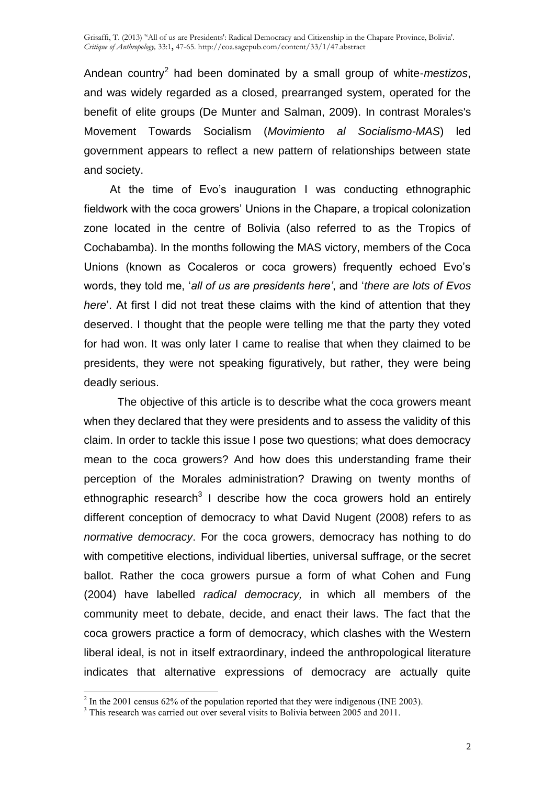Andean country<sup>2</sup> had been dominated by a small group of white-*mestizos*, and was widely regarded as a closed, prearranged system, operated for the benefit of elite groups (De Munter and Salman, 2009). In contrast Morales's Movement Towards Socialism (*Movimiento al Socialismo-MAS*) led government appears to reflect a new pattern of relationships between state and society.

At the time of Evo's inauguration I was conducting ethnographic fieldwork with the coca growers' Unions in the Chapare, a tropical colonization zone located in the centre of Bolivia (also referred to as the Tropics of Cochabamba). In the months following the MAS victory, members of the Coca Unions (known as Cocaleros or coca growers) frequently echoed Evo's words, they told me, '*all of us are presidents here'*, and '*there are lots of Evos here*'. At first I did not treat these claims with the kind of attention that they deserved. I thought that the people were telling me that the party they voted for had won. It was only later I came to realise that when they claimed to be presidents, they were not speaking figuratively, but rather, they were being deadly serious.

The objective of this article is to describe what the coca growers meant when they declared that they were presidents and to assess the validity of this claim. In order to tackle this issue I pose two questions; what does democracy mean to the coca growers? And how does this understanding frame their perception of the Morales administration? Drawing on twenty months of ethnographic research<sup>3</sup> I describe how the coca growers hold an entirely different conception of democracy to what David Nugent (2008) refers to as *normative democracy*. For the coca growers, democracy has nothing to do with competitive elections, individual liberties, universal suffrage, or the secret ballot. Rather the coca growers pursue a form of what Cohen and Fung (2004) have labelled *radical democracy,* in which all members of the community meet to debate, decide, and enact their laws. The fact that the coca growers practice a form of democracy, which clashes with the Western liberal ideal, is not in itself extraordinary, indeed the anthropological literature indicates that alternative expressions of democracy are actually quite

 $2 \text{ In the } 2001 \text{ census } 62\% \text{ of the population reported that they were indigenous (INE } 2003).$ 

<sup>&</sup>lt;sup>3</sup> This research was carried out over several visits to Bolivia between 2005 and 2011.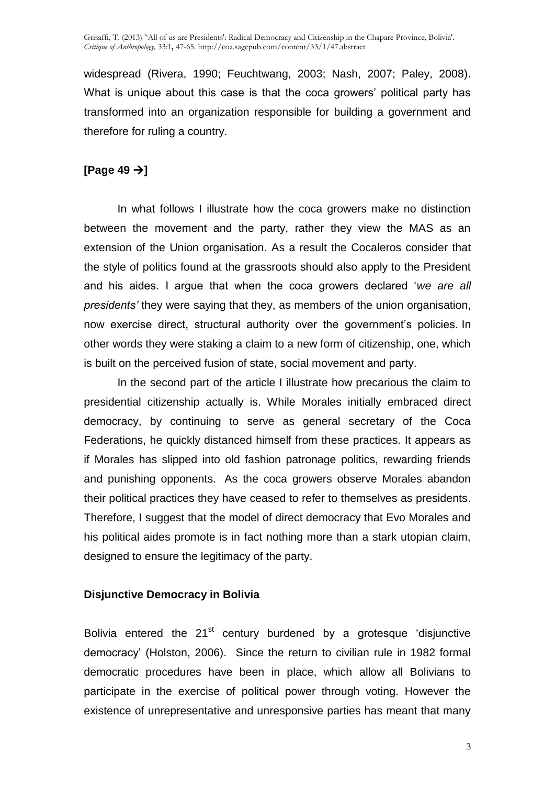widespread (Rivera, 1990; Feuchtwang, 2003; Nash, 2007; Paley, 2008). What is unique about this case is that the coca growers' political party has transformed into an organization responsible for building a government and therefore for ruling a country.

### **[Page 49 ]**

In what follows I illustrate how the coca growers make no distinction between the movement and the party, rather they view the MAS as an extension of the Union organisation. As a result the Cocaleros consider that the style of politics found at the grassroots should also apply to the President and his aides. I argue that when the coca growers declared '*we are all presidents'* they were saying that they, as members of the union organisation, now exercise direct, structural authority over the government's policies. In other words they were staking a claim to a new form of citizenship, one, which is built on the perceived fusion of state, social movement and party.

In the second part of the article I illustrate how precarious the claim to presidential citizenship actually is. While Morales initially embraced direct democracy, by continuing to serve as general secretary of the Coca Federations, he quickly distanced himself from these practices. It appears as if Morales has slipped into old fashion patronage politics, rewarding friends and punishing opponents. As the coca growers observe Morales abandon their political practices they have ceased to refer to themselves as presidents. Therefore, I suggest that the model of direct democracy that Evo Morales and his political aides promote is in fact nothing more than a stark utopian claim, designed to ensure the legitimacy of the party.

#### **Disjunctive Democracy in Bolivia**

Bolivia entered the  $21^{st}$  century burdened by a grotesque 'disjunctive democracy' (Holston, 2006). Since the return to civilian rule in 1982 formal democratic procedures have been in place, which allow all Bolivians to participate in the exercise of political power through voting. However the existence of unrepresentative and unresponsive parties has meant that many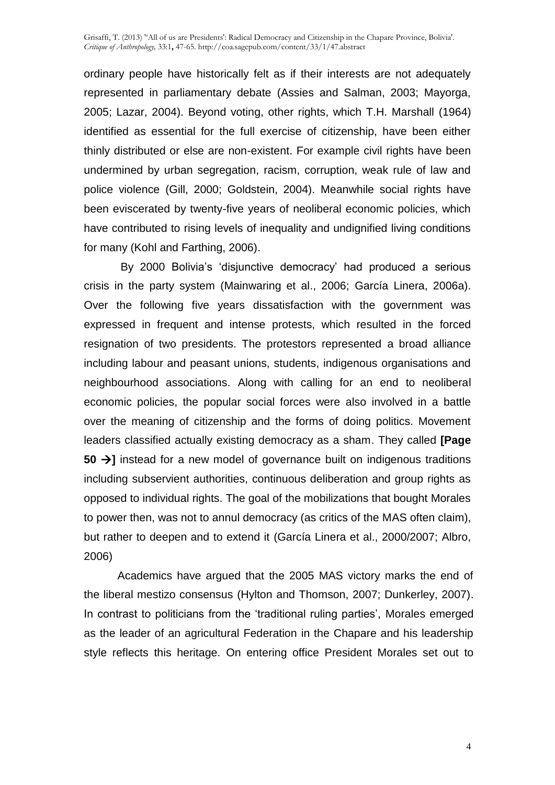ordinary people have historically felt as if their interests are not adequately represented in parliamentary debate (Assies and Salman, 2003; Mayorga, 2005; Lazar, 2004). Beyond voting, other rights, which T.H. Marshall (1964) identified as essential for the full exercise of citizenship, have been either thinly distributed or else are non-existent. For example civil rights have been undermined by urban segregation, racism, corruption, weak rule of law and police violence (Gill, 2000; Goldstein, 2004). Meanwhile social rights have been eviscerated by twenty-five years of neoliberal economic policies, which have contributed to rising levels of inequality and undignified living conditions for many (Kohl and Farthing, 2006).

By 2000 Bolivia's 'disjunctive democracy' had produced a serious crisis in the party system (Mainwaring et al., 2006; García Linera, 2006a). Over the following five years dissatisfaction with the government was expressed in frequent and intense protests, which resulted in the forced resignation of two presidents. The protestors represented a broad alliance including labour and peasant unions, students, indigenous organisations and neighbourhood associations. Along with calling for an end to neoliberal economic policies, the popular social forces were also involved in a battle over the meaning of citizenship and the forms of doing politics. Movement leaders classified actually existing democracy as a sham. They called **[Page 50 →]** instead for a new model of governance built on indigenous traditions including subservient authorities, continuous deliberation and group rights as opposed to individual rights. The goal of the mobilizations that bought Morales to power then, was not to annul democracy (as critics of the MAS often claim), but rather to deepen and to extend it (García Linera et al., 2000/2007; Albro, 2006)

Academics have argued that the 2005 MAS victory marks the end of the liberal mestizo consensus (Hylton and Thomson, 2007; Dunkerley, 2007). In contrast to politicians from the 'traditional ruling parties', Morales emerged as the leader of an agricultural Federation in the Chapare and his leadership style reflects this heritage. On entering office President Morales set out to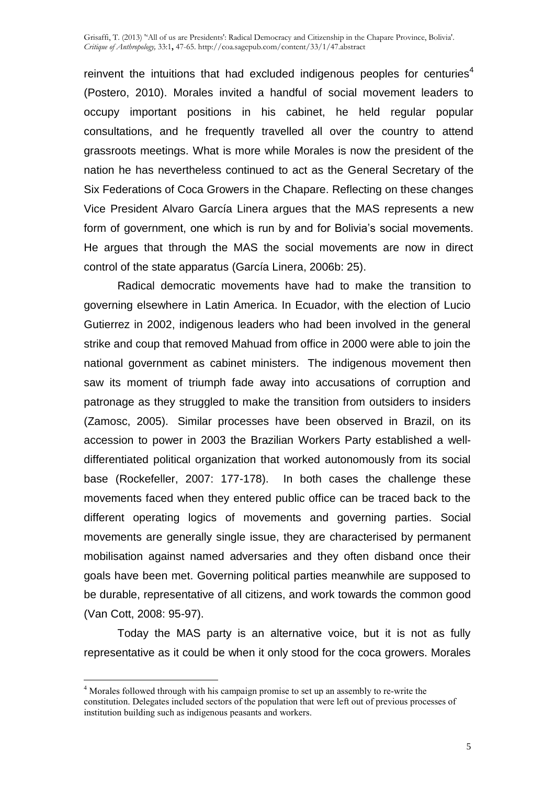reinvent the intuitions that had excluded indigenous peoples for centuries<sup>4</sup> (Postero, 2010). Morales invited a handful of social movement leaders to occupy important positions in his cabinet, he held regular popular consultations, and he frequently travelled all over the country to attend grassroots meetings. What is more while Morales is now the president of the nation he has nevertheless continued to act as the General Secretary of the Six Federations of Coca Growers in the Chapare. Reflecting on these changes Vice President Alvaro García Linera argues that the MAS represents a new form of government, one which is run by and for Bolivia's social movements. He argues that through the MAS the social movements are now in direct control of the state apparatus (García Linera, 2006b: 25).

Radical democratic movements have had to make the transition to governing elsewhere in Latin America. In Ecuador, with the election of Lucio Gutierrez in 2002, indigenous leaders who had been involved in the general strike and coup that removed Mahuad from office in 2000 were able to join the national government as cabinet ministers. The indigenous movement then saw its moment of triumph fade away into accusations of corruption and patronage as they struggled to make the transition from outsiders to insiders (Zamosc, 2005). Similar processes have been observed in Brazil, on its accession to power in 2003 the Brazilian Workers Party established a welldifferentiated political organization that worked autonomously from its social base (Rockefeller, 2007: 177-178). In both cases the challenge these movements faced when they entered public office can be traced back to the different operating logics of movements and governing parties. Social movements are generally single issue, they are characterised by permanent mobilisation against named adversaries and they often disband once their goals have been met. Governing political parties meanwhile are supposed to be durable, representative of all citizens, and work towards the common good (Van Cott, 2008: 95-97).

Today the MAS party is an alternative voice, but it is not as fully representative as it could be when it only stood for the coca growers. Morales

<u>.</u>

<sup>4</sup> Morales followed through with his campaign promise to set up an assembly to re-write the constitution. Delegates included sectors of the population that were left out of previous processes of institution building such as indigenous peasants and workers.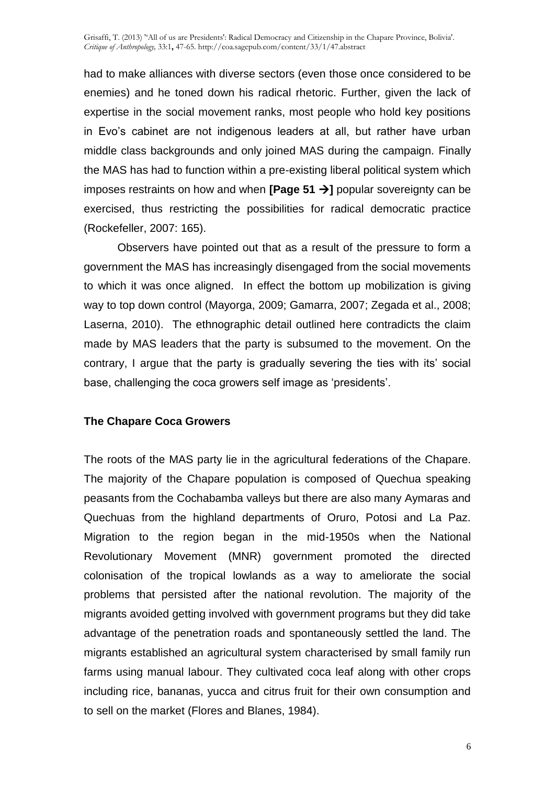had to make alliances with diverse sectors (even those once considered to be enemies) and he toned down his radical rhetoric. Further, given the lack of expertise in the social movement ranks, most people who hold key positions in Evo's cabinet are not indigenous leaders at all, but rather have urban middle class backgrounds and only joined MAS during the campaign. Finally the MAS has had to function within a pre-existing liberal political system which imposes restraints on how and when **[Page 51 ]** popular sovereignty can be exercised, thus restricting the possibilities for radical democratic practice (Rockefeller, 2007: 165).

Observers have pointed out that as a result of the pressure to form a government the MAS has increasingly disengaged from the social movements to which it was once aligned. In effect the bottom up mobilization is giving way to top down control (Mayorga, 2009; Gamarra, 2007; Zegada et al., 2008; Laserna, 2010). The ethnographic detail outlined here contradicts the claim made by MAS leaders that the party is subsumed to the movement. On the contrary, I argue that the party is gradually severing the ties with its' social base, challenging the coca growers self image as 'presidents'.

#### **The Chapare Coca Growers**

The roots of the MAS party lie in the agricultural federations of the Chapare. The majority of the Chapare population is composed of Quechua speaking peasants from the Cochabamba valleys but there are also many Aymaras and Quechuas from the highland departments of Oruro, Potosi and La Paz. Migration to the region began in the mid-1950s when the National Revolutionary Movement (MNR) government promoted the directed colonisation of the tropical lowlands as a way to ameliorate the social problems that persisted after the national revolution. The majority of the migrants avoided getting involved with government programs but they did take advantage of the penetration roads and spontaneously settled the land. The migrants established an agricultural system characterised by small family run farms using manual labour. They cultivated coca leaf along with other crops including rice, bananas, yucca and citrus fruit for their own consumption and to sell on the market (Flores and Blanes, 1984).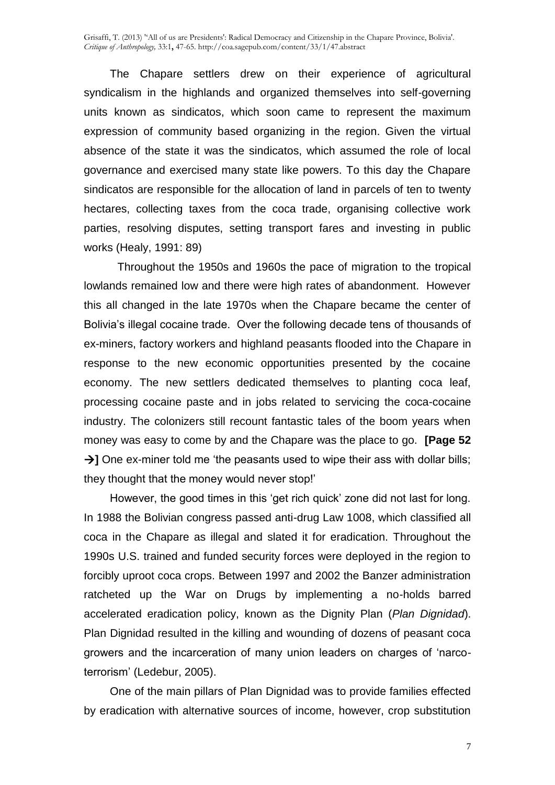The Chapare settlers drew on their experience of agricultural syndicalism in the highlands and organized themselves into self-governing units known as sindicatos, which soon came to represent the maximum expression of community based organizing in the region. Given the virtual absence of the state it was the sindicatos, which assumed the role of local governance and exercised many state like powers. To this day the Chapare sindicatos are responsible for the allocation of land in parcels of ten to twenty hectares, collecting taxes from the coca trade, organising collective work parties, resolving disputes, setting transport fares and investing in public works (Healy, 1991: 89)

Throughout the 1950s and 1960s the pace of migration to the tropical lowlands remained low and there were high rates of abandonment. However this all changed in the late 1970s when the Chapare became the center of Bolivia's illegal cocaine trade. Over the following decade tens of thousands of ex-miners, factory workers and highland peasants flooded into the Chapare in response to the new economic opportunities presented by the cocaine economy. The new settlers dedicated themselves to planting coca leaf, processing cocaine paste and in jobs related to servicing the coca-cocaine industry. The colonizers still recount fantastic tales of the boom years when money was easy to come by and the Chapare was the place to go. **[Page 52**   $\rightarrow$ ] One ex-miner told me 'the peasants used to wipe their ass with dollar bills; they thought that the money would never stop!'

However, the good times in this 'get rich quick' zone did not last for long. In 1988 the Bolivian congress passed anti-drug Law 1008, which classified all coca in the Chapare as illegal and slated it for eradication. Throughout the 1990s U.S. trained and funded security forces were deployed in the region to forcibly uproot coca crops. Between 1997 and 2002 the Banzer administration ratcheted up the War on Drugs by implementing a no-holds barred accelerated eradication policy, known as the Dignity Plan (*Plan Dignidad*). Plan Dignidad resulted in the killing and wounding of dozens of peasant coca growers and the incarceration of many union leaders on charges of 'narcoterrorism' (Ledebur, 2005).

One of the main pillars of Plan Dignidad was to provide families effected by eradication with alternative sources of income, however, crop substitution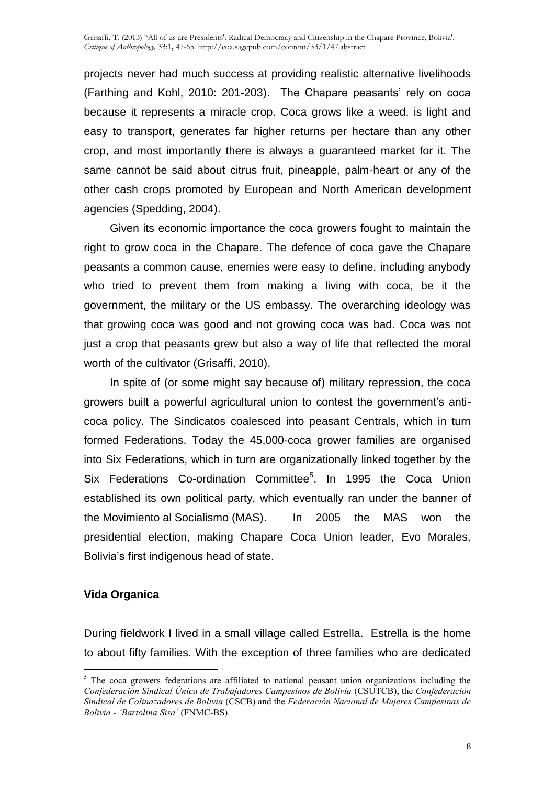projects never had much success at providing realistic alternative livelihoods (Farthing and Kohl, 2010: 201-203). The Chapare peasants' rely on coca because it represents a miracle crop. Coca grows like a weed, is light and easy to transport, generates far higher returns per hectare than any other crop, and most importantly there is always a guaranteed market for it. The same cannot be said about citrus fruit, pineapple, palm-heart or any of the other cash crops promoted by European and North American development agencies (Spedding, 2004).

Given its economic importance the coca growers fought to maintain the right to grow coca in the Chapare. The defence of coca gave the Chapare peasants a common cause, enemies were easy to define, including anybody who tried to prevent them from making a living with coca, be it the government, the military or the US embassy. The overarching ideology was that growing coca was good and not growing coca was bad. Coca was not just a crop that peasants grew but also a way of life that reflected the moral worth of the cultivator (Grisaffi, 2010).

In spite of (or some might say because of) military repression, the coca growers built a powerful agricultural union to contest the government's anticoca policy. The Sindicatos coalesced into peasant Centrals, which in turn formed Federations. Today the 45,000-coca grower families are organised into Six Federations, which in turn are organizationally linked together by the Six Federations Co-ordination Committee<sup>5</sup>. In 1995 the Coca Union established its own political party, which eventually ran under the banner of the Movimiento al Socialismo (MAS). In 2005 the MAS won the presidential election, making Chapare Coca Union leader, Evo Morales, Bolivia's first indigenous head of state.

#### **Vida Organica**

1

During fieldwork I lived in a small village called Estrella. Estrella is the home to about fifty families. With the exception of three families who are dedicated

<sup>&</sup>lt;sup>5</sup> The coca growers federations are affiliated to national peasant union organizations including the *Confederación Sindical Única de Trabajadores Campesinos de Bolivia* (CSUTCB), the *Confederación Sindical de Colinazadores de Bolivia* (CSCB) and the *Federación Nacional de Mujeres Campesinas de Bolivia - 'Bartolina Sisa'* (FNMC-BS).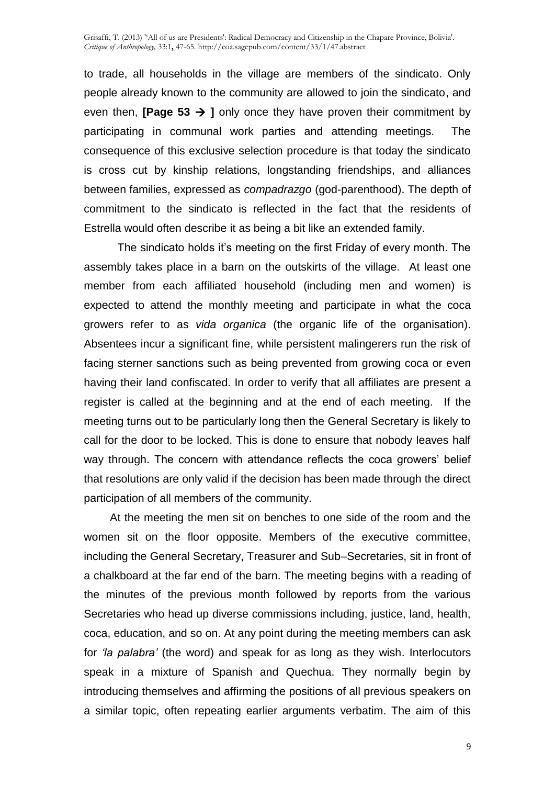to trade, all households in the village are members of the sindicato. Only people already known to the community are allowed to join the sindicato, and even then, **[Page 53**  $\rightarrow$  **]** only once they have proven their commitment by participating in communal work parties and attending meetings. The consequence of this exclusive selection procedure is that today the sindicato is cross cut by kinship relations, longstanding friendships, and alliances between families, expressed as *compadrazgo* (god-parenthood). The depth of commitment to the sindicato is reflected in the fact that the residents of Estrella would often describe it as being a bit like an extended family.

The sindicato holds it's meeting on the first Friday of every month. The assembly takes place in a barn on the outskirts of the village. At least one member from each affiliated household (including men and women) is expected to attend the monthly meeting and participate in what the coca growers refer to as *vida organica* (the organic life of the organisation). Absentees incur a significant fine, while persistent malingerers run the risk of facing sterner sanctions such as being prevented from growing coca or even having their land confiscated. In order to verify that all affiliates are present a register is called at the beginning and at the end of each meeting. If the meeting turns out to be particularly long then the General Secretary is likely to call for the door to be locked. This is done to ensure that nobody leaves half way through. The concern with attendance reflects the coca growers' belief that resolutions are only valid if the decision has been made through the direct participation of all members of the community.

At the meeting the men sit on benches to one side of the room and the women sit on the floor opposite. Members of the executive committee, including the General Secretary, Treasurer and Sub–Secretaries, sit in front of a chalkboard at the far end of the barn. The meeting begins with a reading of the minutes of the previous month followed by reports from the various Secretaries who head up diverse commissions including, justice, land, health, coca, education, and so on. At any point during the meeting members can ask for *'la palabra'* (the word) and speak for as long as they wish. Interlocutors speak in a mixture of Spanish and Quechua. They normally begin by introducing themselves and affirming the positions of all previous speakers on a similar topic, often repeating earlier arguments verbatim. The aim of this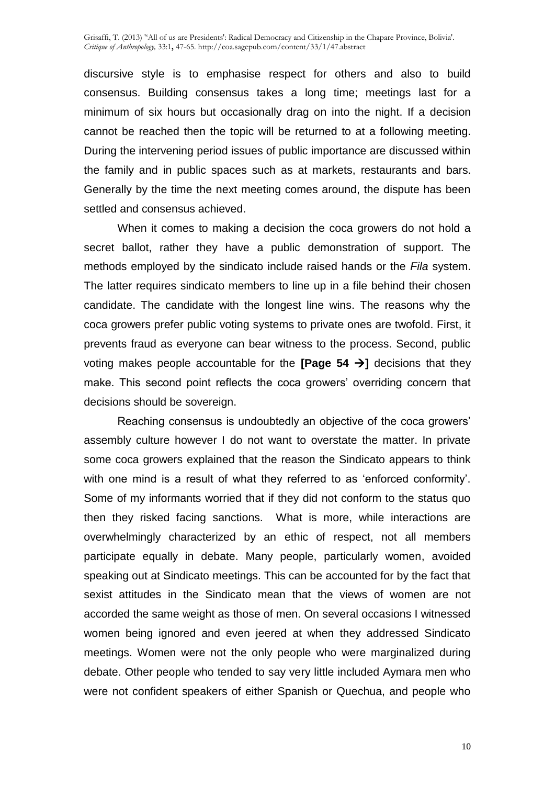discursive style is to emphasise respect for others and also to build consensus. Building consensus takes a long time; meetings last for a minimum of six hours but occasionally drag on into the night. If a decision cannot be reached then the topic will be returned to at a following meeting. During the intervening period issues of public importance are discussed within the family and in public spaces such as at markets, restaurants and bars. Generally by the time the next meeting comes around, the dispute has been settled and consensus achieved.

When it comes to making a decision the coca growers do not hold a secret ballot, rather they have a public demonstration of support. The methods employed by the sindicato include raised hands or the *Fila* system. The latter requires sindicato members to line up in a file behind their chosen candidate. The candidate with the longest line wins. The reasons why the coca growers prefer public voting systems to private ones are twofold. First, it prevents fraud as everyone can bear witness to the process. Second, public voting makes people accountable for the **[Page 54**  $\rightarrow$ **]** decisions that they make. This second point reflects the coca growers' overriding concern that decisions should be sovereign.

Reaching consensus is undoubtedly an objective of the coca growers' assembly culture however I do not want to overstate the matter. In private some coca growers explained that the reason the Sindicato appears to think with one mind is a result of what they referred to as 'enforced conformity'. Some of my informants worried that if they did not conform to the status quo then they risked facing sanctions. What is more, while interactions are overwhelmingly characterized by an ethic of respect, not all members participate equally in debate. Many people, particularly women, avoided speaking out at Sindicato meetings. This can be accounted for by the fact that sexist attitudes in the Sindicato mean that the views of women are not accorded the same weight as those of men. On several occasions I witnessed women being ignored and even jeered at when they addressed Sindicato meetings. Women were not the only people who were marginalized during debate. Other people who tended to say very little included Aymara men who were not confident speakers of either Spanish or Quechua, and people who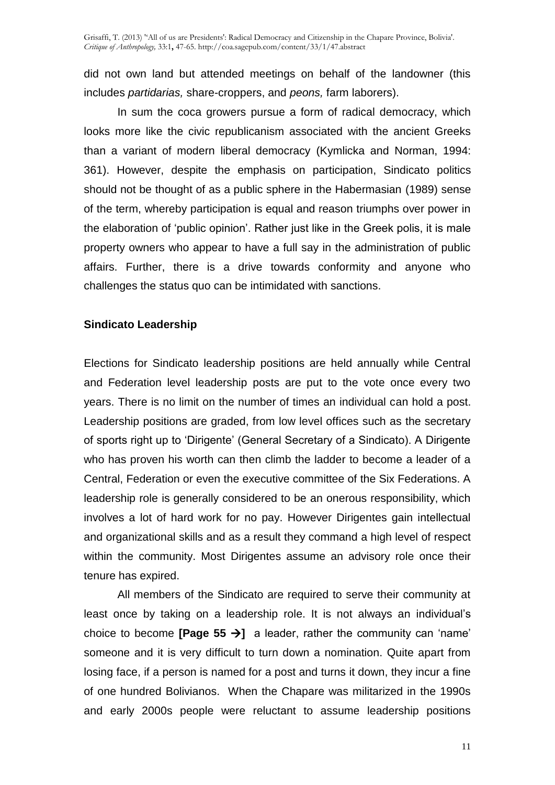did not own land but attended meetings on behalf of the landowner (this includes *partidarias,* share-croppers, and *peons,* farm laborers).

In sum the coca growers pursue a form of radical democracy, which looks more like the civic republicanism associated with the ancient Greeks than a variant of modern liberal democracy (Kymlicka and Norman, 1994: 361). However, despite the emphasis on participation, Sindicato politics should not be thought of as a public sphere in the Habermasian (1989) sense of the term, whereby participation is equal and reason triumphs over power in the elaboration of 'public opinion'. Rather just like in the Greek polis, it is male property owners who appear to have a full say in the administration of public affairs. Further, there is a drive towards conformity and anyone who challenges the status quo can be intimidated with sanctions.

#### **Sindicato Leadership**

Elections for Sindicato leadership positions are held annually while Central and Federation level leadership posts are put to the vote once every two years. There is no limit on the number of times an individual can hold a post. Leadership positions are graded, from low level offices such as the secretary of sports right up to 'Dirigente' (General Secretary of a Sindicato). A Dirigente who has proven his worth can then climb the ladder to become a leader of a Central, Federation or even the executive committee of the Six Federations. A leadership role is generally considered to be an onerous responsibility, which involves a lot of hard work for no pay. However Dirigentes gain intellectual and organizational skills and as a result they command a high level of respect within the community. Most Dirigentes assume an advisory role once their tenure has expired.

All members of the Sindicato are required to serve their community at least once by taking on a leadership role. It is not always an individual's choice to become **[Page 55 ]** a leader, rather the community can 'name' someone and it is very difficult to turn down a nomination. Quite apart from losing face, if a person is named for a post and turns it down, they incur a fine of one hundred Bolivianos. When the Chapare was militarized in the 1990s and early 2000s people were reluctant to assume leadership positions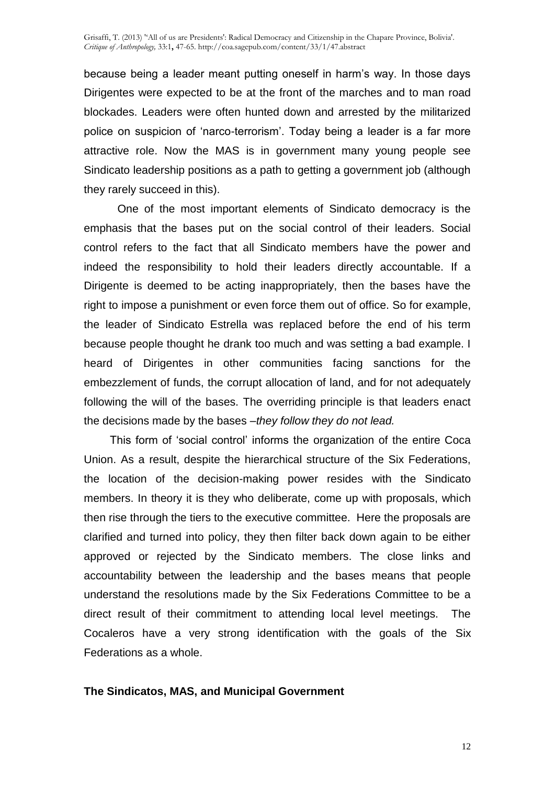because being a leader meant putting oneself in harm's way. In those days Dirigentes were expected to be at the front of the marches and to man road blockades. Leaders were often hunted down and arrested by the militarized police on suspicion of 'narco-terrorism'. Today being a leader is a far more attractive role. Now the MAS is in government many young people see Sindicato leadership positions as a path to getting a government job (although they rarely succeed in this).

One of the most important elements of Sindicato democracy is the emphasis that the bases put on the social control of their leaders. Social control refers to the fact that all Sindicato members have the power and indeed the responsibility to hold their leaders directly accountable. If a Dirigente is deemed to be acting inappropriately, then the bases have the right to impose a punishment or even force them out of office. So for example, the leader of Sindicato Estrella was replaced before the end of his term because people thought he drank too much and was setting a bad example. I heard of Dirigentes in other communities facing sanctions for the embezzlement of funds, the corrupt allocation of land, and for not adequately following the will of the bases. The overriding principle is that leaders enact the decisions made by the bases –*they follow they do not lead.* 

This form of 'social control' informs the organization of the entire Coca Union. As a result, despite the hierarchical structure of the Six Federations, the location of the decision-making power resides with the Sindicato members. In theory it is they who deliberate, come up with proposals, which then rise through the tiers to the executive committee. Here the proposals are clarified and turned into policy, they then filter back down again to be either approved or rejected by the Sindicato members. The close links and accountability between the leadership and the bases means that people understand the resolutions made by the Six Federations Committee to be a direct result of their commitment to attending local level meetings. The Cocaleros have a very strong identification with the goals of the Six Federations as a whole.

#### **The Sindicatos, MAS, and Municipal Government**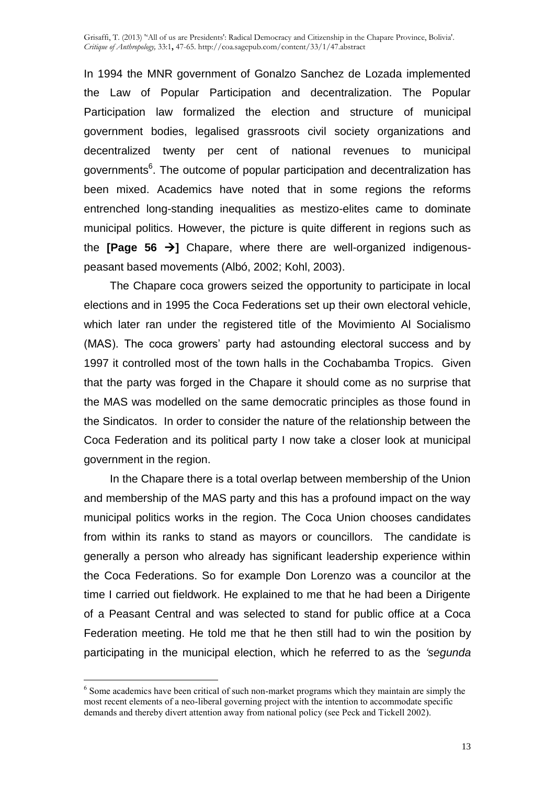In 1994 the MNR government of Gonalzo Sanchez de Lozada implemented the Law of Popular Participation and decentralization. The Popular Participation law formalized the election and structure of municipal government bodies, legalised grassroots civil society organizations and decentralized twenty per cent of national revenues to municipal governments<sup>6</sup>. The outcome of popular participation and decentralization has been mixed. Academics have noted that in some regions the reforms entrenched long-standing inequalities as mestizo-elites came to dominate municipal politics. However, the picture is quite different in regions such as the **[Page 56 ]** Chapare, where there are well-organized indigenouspeasant based movements (Albó, 2002; Kohl, 2003).

The Chapare coca growers seized the opportunity to participate in local elections and in 1995 the Coca Federations set up their own electoral vehicle, which later ran under the registered title of the Movimiento Al Socialismo (MAS). The coca growers' party had astounding electoral success and by 1997 it controlled most of the town halls in the Cochabamba Tropics. Given that the party was forged in the Chapare it should come as no surprise that the MAS was modelled on the same democratic principles as those found in the Sindicatos. In order to consider the nature of the relationship between the Coca Federation and its political party I now take a closer look at municipal government in the region.

In the Chapare there is a total overlap between membership of the Union and membership of the MAS party and this has a profound impact on the way municipal politics works in the region. The Coca Union chooses candidates from within its ranks to stand as mayors or councillors. The candidate is generally a person who already has significant leadership experience within the Coca Federations. So for example Don Lorenzo was a councilor at the time I carried out fieldwork. He explained to me that he had been a Dirigente of a Peasant Central and was selected to stand for public office at a Coca Federation meeting. He told me that he then still had to win the position by participating in the municipal election, which he referred to as the *'segunda* 

<u>.</u>

<sup>&</sup>lt;sup>6</sup> Some academics have been critical of such non-market programs which they maintain are simply the most recent elements of a neo-liberal governing project with the intention to accommodate specific demands and thereby divert attention away from national policy (see Peck and Tickell 2002).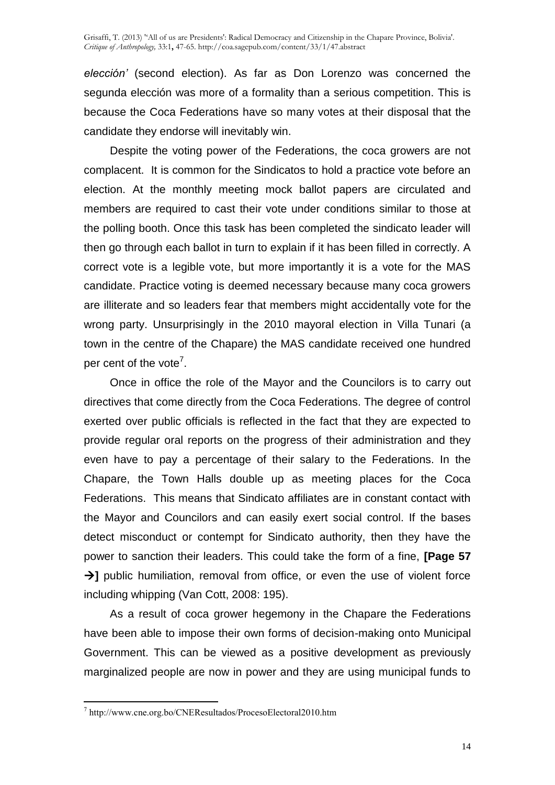*elección'* (second election). As far as Don Lorenzo was concerned the segunda elección was more of a formality than a serious competition. This is because the Coca Federations have so many votes at their disposal that the candidate they endorse will inevitably win.

Despite the voting power of the Federations, the coca growers are not complacent. It is common for the Sindicatos to hold a practice vote before an election. At the monthly meeting mock ballot papers are circulated and members are required to cast their vote under conditions similar to those at the polling booth. Once this task has been completed the sindicato leader will then go through each ballot in turn to explain if it has been filled in correctly. A correct vote is a legible vote, but more importantly it is a vote for the MAS candidate. Practice voting is deemed necessary because many coca growers are illiterate and so leaders fear that members might accidentally vote for the wrong party. Unsurprisingly in the 2010 mayoral election in Villa Tunari (a town in the centre of the Chapare) the MAS candidate received one hundred per cent of the vote<sup>7</sup>.

Once in office the role of the Mayor and the Councilors is to carry out directives that come directly from the Coca Federations. The degree of control exerted over public officials is reflected in the fact that they are expected to provide regular oral reports on the progress of their administration and they even have to pay a percentage of their salary to the Federations. In the Chapare, the Town Halls double up as meeting places for the Coca Federations. This means that Sindicato affiliates are in constant contact with the Mayor and Councilors and can easily exert social control. If the bases detect misconduct or contempt for Sindicato authority, then they have the power to sanction their leaders. This could take the form of a fine, **[Page 57**   $\rightarrow$ ] public humiliation, removal from office, or even the use of violent force including whipping (Van Cott, 2008: 195).

As a result of coca grower hegemony in the Chapare the Federations have been able to impose their own forms of decision-making onto Municipal Government. This can be viewed as a positive development as previously marginalized people are now in power and they are using municipal funds to

<sup>7</sup> http://www.cne.org.bo/CNEResultados/ProcesoElectoral2010.htm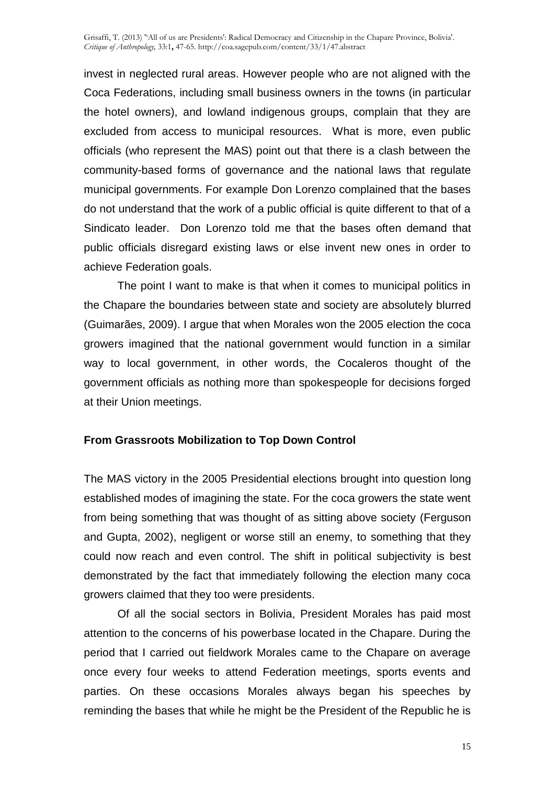invest in neglected rural areas. However people who are not aligned with the Coca Federations, including small business owners in the towns (in particular the hotel owners), and lowland indigenous groups, complain that they are excluded from access to municipal resources. What is more, even public officials (who represent the MAS) point out that there is a clash between the community-based forms of governance and the national laws that regulate municipal governments. For example Don Lorenzo complained that the bases do not understand that the work of a public official is quite different to that of a Sindicato leader. Don Lorenzo told me that the bases often demand that public officials disregard existing laws or else invent new ones in order to achieve Federation goals.

The point I want to make is that when it comes to municipal politics in the Chapare the boundaries between state and society are absolutely blurred (Guimarães, 2009). I argue that when Morales won the 2005 election the coca growers imagined that the national government would function in a similar way to local government, in other words, the Cocaleros thought of the government officials as nothing more than spokespeople for decisions forged at their Union meetings.

#### **From Grassroots Mobilization to Top Down Control**

The MAS victory in the 2005 Presidential elections brought into question long established modes of imagining the state. For the coca growers the state went from being something that was thought of as sitting above society (Ferguson and Gupta, 2002), negligent or worse still an enemy, to something that they could now reach and even control. The shift in political subjectivity is best demonstrated by the fact that immediately following the election many coca growers claimed that they too were presidents.

Of all the social sectors in Bolivia, President Morales has paid most attention to the concerns of his powerbase located in the Chapare. During the period that I carried out fieldwork Morales came to the Chapare on average once every four weeks to attend Federation meetings, sports events and parties. On these occasions Morales always began his speeches by reminding the bases that while he might be the President of the Republic he is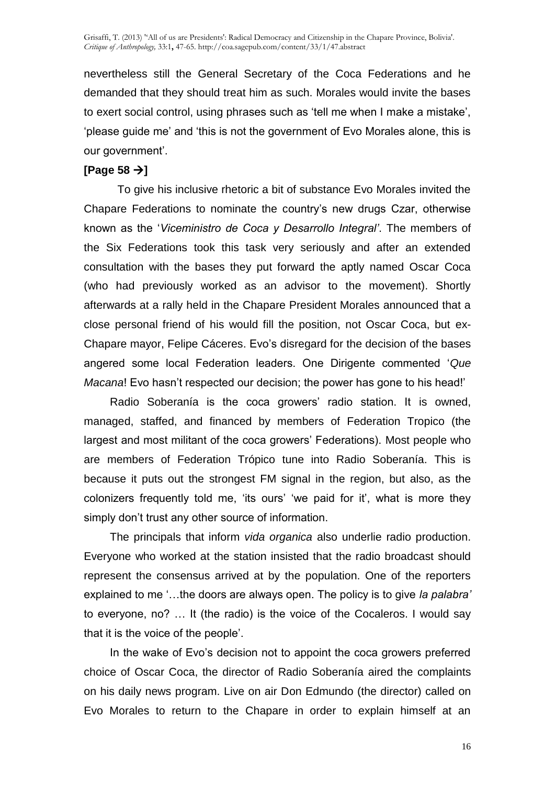nevertheless still the General Secretary of the Coca Federations and he demanded that they should treat him as such. Morales would invite the bases to exert social control, using phrases such as 'tell me when I make a mistake', 'please guide me' and 'this is not the government of Evo Morales alone, this is our government'.

#### **[Page 58 ]**

To give his inclusive rhetoric a bit of substance Evo Morales invited the Chapare Federations to nominate the country's new drugs Czar, otherwise known as the '*Viceministro de Coca y Desarrollo Integral'*. The members of the Six Federations took this task very seriously and after an extended consultation with the bases they put forward the aptly named Oscar Coca (who had previously worked as an advisor to the movement). Shortly afterwards at a rally held in the Chapare President Morales announced that a close personal friend of his would fill the position, not Oscar Coca, but ex-Chapare mayor, Felipe Cáceres. Evo's disregard for the decision of the bases angered some local Federation leaders. One Dirigente commented '*Que Macana*! Evo hasn't respected our decision; the power has gone to his head!'

Radio Soberanía is the coca growers' radio station. It is owned, managed, staffed, and financed by members of Federation Tropico (the largest and most militant of the coca growers' Federations). Most people who are members of Federation Trópico tune into Radio Soberanía. This is because it puts out the strongest FM signal in the region, but also, as the colonizers frequently told me, 'its ours' 'we paid for it', what is more they simply don't trust any other source of information.

The principals that inform *vida organica* also underlie radio production. Everyone who worked at the station insisted that the radio broadcast should represent the consensus arrived at by the population. One of the reporters explained to me '…the doors are always open. The policy is to give *la palabra'* to everyone, no? … It (the radio) is the voice of the Cocaleros. I would say that it is the voice of the people'.

In the wake of Evo's decision not to appoint the coca growers preferred choice of Oscar Coca, the director of Radio Soberanía aired the complaints on his daily news program. Live on air Don Edmundo (the director) called on Evo Morales to return to the Chapare in order to explain himself at an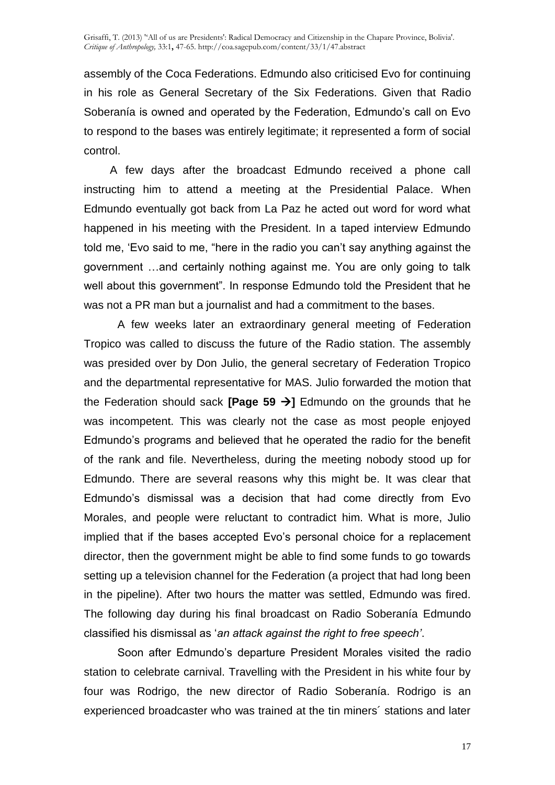assembly of the Coca Federations. Edmundo also criticised Evo for continuing in his role as General Secretary of the Six Federations. Given that Radio Soberanía is owned and operated by the Federation, Edmundo's call on Evo to respond to the bases was entirely legitimate; it represented a form of social control.

A few days after the broadcast Edmundo received a phone call instructing him to attend a meeting at the Presidential Palace. When Edmundo eventually got back from La Paz he acted out word for word what happened in his meeting with the President. In a taped interview Edmundo told me, 'Evo said to me, "here in the radio you can't say anything against the government …and certainly nothing against me. You are only going to talk well about this government". In response Edmundo told the President that he was not a PR man but a journalist and had a commitment to the bases.

A few weeks later an extraordinary general meeting of Federation Tropico was called to discuss the future of the Radio station. The assembly was presided over by Don Julio, the general secretary of Federation Tropico and the departmental representative for MAS. Julio forwarded the motion that the Federation should sack **[Page 59**  $\rightarrow$ **]** Edmundo on the grounds that he was incompetent. This was clearly not the case as most people enjoyed Edmundo's programs and believed that he operated the radio for the benefit of the rank and file. Nevertheless, during the meeting nobody stood up for Edmundo. There are several reasons why this might be. It was clear that Edmundo's dismissal was a decision that had come directly from Evo Morales, and people were reluctant to contradict him. What is more, Julio implied that if the bases accepted Evo's personal choice for a replacement director, then the government might be able to find some funds to go towards setting up a television channel for the Federation (a project that had long been in the pipeline). After two hours the matter was settled, Edmundo was fired. The following day during his final broadcast on Radio Soberanía Edmundo classified his dismissal as '*an attack against the right to free speech'*.

Soon after Edmundo's departure President Morales visited the radio station to celebrate carnival. Travelling with the President in his white four by four was Rodrigo, the new director of Radio Soberanía. Rodrigo is an experienced broadcaster who was trained at the tin miners´ stations and later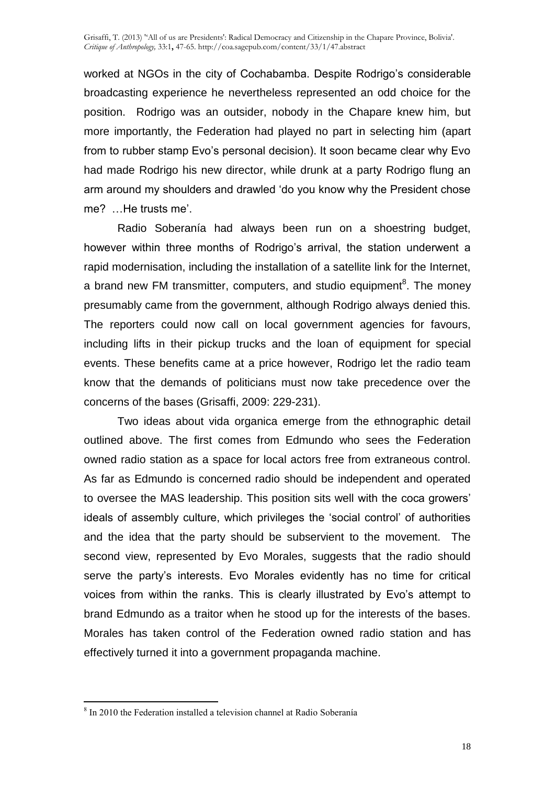worked at NGOs in the city of Cochabamba. Despite Rodrigo's considerable broadcasting experience he nevertheless represented an odd choice for the position. Rodrigo was an outsider, nobody in the Chapare knew him, but more importantly, the Federation had played no part in selecting him (apart from to rubber stamp Evo's personal decision). It soon became clear why Evo had made Rodrigo his new director, while drunk at a party Rodrigo flung an arm around my shoulders and drawled 'do you know why the President chose me? …He trusts me'.

Radio Soberanía had always been run on a shoestring budget, however within three months of Rodrigo's arrival, the station underwent a rapid modernisation, including the installation of a satellite link for the Internet, a brand new FM transmitter, computers, and studio equipment<sup>8</sup>. The money presumably came from the government, although Rodrigo always denied this. The reporters could now call on local government agencies for favours, including lifts in their pickup trucks and the loan of equipment for special events. These benefits came at a price however, Rodrigo let the radio team know that the demands of politicians must now take precedence over the concerns of the bases (Grisaffi, 2009: 229-231).

Two ideas about vida organica emerge from the ethnographic detail outlined above. The first comes from Edmundo who sees the Federation owned radio station as a space for local actors free from extraneous control. As far as Edmundo is concerned radio should be independent and operated to oversee the MAS leadership. This position sits well with the coca growers' ideals of assembly culture, which privileges the 'social control' of authorities and the idea that the party should be subservient to the movement. The second view, represented by Evo Morales, suggests that the radio should serve the party's interests. Evo Morales evidently has no time for critical voices from within the ranks. This is clearly illustrated by Evo's attempt to brand Edmundo as a traitor when he stood up for the interests of the bases. Morales has taken control of the Federation owned radio station and has effectively turned it into a government propaganda machine.

<sup>8</sup> In 2010 the Federation installed a television channel at Radio Soberanía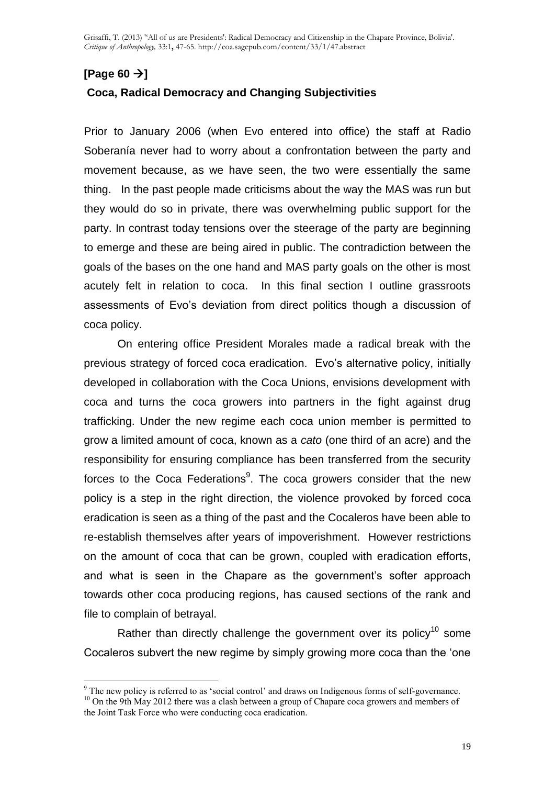## **[Page 60 ]**

<u>.</u>

### **Coca, Radical Democracy and Changing Subjectivities**

Prior to January 2006 (when Evo entered into office) the staff at Radio Soberanía never had to worry about a confrontation between the party and movement because, as we have seen, the two were essentially the same thing. In the past people made criticisms about the way the MAS was run but they would do so in private, there was overwhelming public support for the party. In contrast today tensions over the steerage of the party are beginning to emerge and these are being aired in public. The contradiction between the goals of the bases on the one hand and MAS party goals on the other is most acutely felt in relation to coca. In this final section I outline grassroots assessments of Evo's deviation from direct politics though a discussion of coca policy.

On entering office President Morales made a radical break with the previous strategy of forced coca eradication. Evo's alternative policy, initially developed in collaboration with the Coca Unions, envisions development with coca and turns the coca growers into partners in the fight against drug trafficking. Under the new regime each coca union member is permitted to grow a limited amount of coca, known as a *cato* (one third of an acre) and the responsibility for ensuring compliance has been transferred from the security forces to the Coca Federations<sup>9</sup>. The coca growers consider that the new policy is a step in the right direction, the violence provoked by forced coca eradication is seen as a thing of the past and the Cocaleros have been able to re-establish themselves after years of impoverishment. However restrictions on the amount of coca that can be grown, coupled with eradication efforts, and what is seen in the Chapare as the government's softer approach towards other coca producing regions, has caused sections of the rank and file to complain of betrayal.

Rather than directly challenge the government over its policy<sup>10</sup> some Cocaleros subvert the new regime by simply growing more coca than the 'one

<sup>9</sup> The new policy is referred to as 'social control' and draws on Indigenous forms of self-governance. <sup>10</sup> On the 9th May 2012 there was a clash between a group of Chapare coca growers and members of the Joint Task Force who were conducting coca eradication.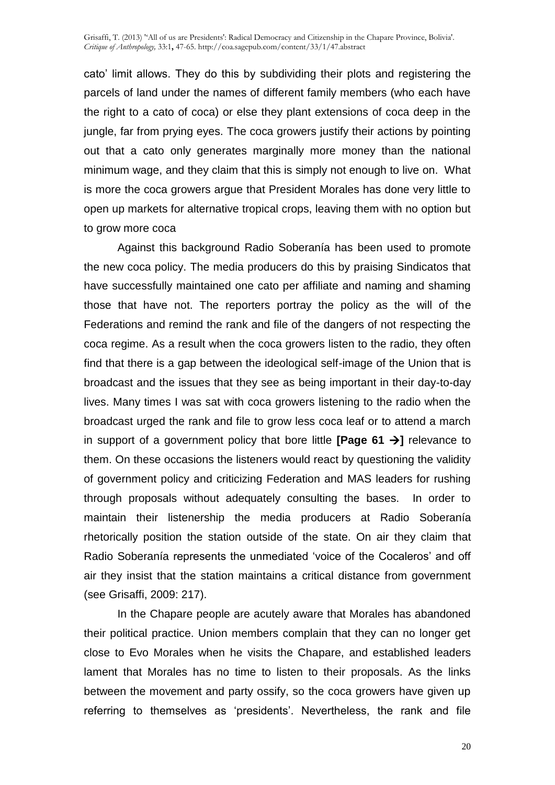cato' limit allows. They do this by subdividing their plots and registering the parcels of land under the names of different family members (who each have the right to a cato of coca) or else they plant extensions of coca deep in the jungle, far from prying eyes. The coca growers justify their actions by pointing out that a cato only generates marginally more money than the national minimum wage, and they claim that this is simply not enough to live on. What is more the coca growers argue that President Morales has done very little to open up markets for alternative tropical crops, leaving them with no option but to grow more coca

Against this background Radio Soberanía has been used to promote the new coca policy. The media producers do this by praising Sindicatos that have successfully maintained one cato per affiliate and naming and shaming those that have not. The reporters portray the policy as the will of the Federations and remind the rank and file of the dangers of not respecting the coca regime. As a result when the coca growers listen to the radio, they often find that there is a gap between the ideological self-image of the Union that is broadcast and the issues that they see as being important in their day-to-day lives. Many times I was sat with coca growers listening to the radio when the broadcast urged the rank and file to grow less coca leaf or to attend a march in support of a government policy that bore little **[Page 61**  $\rightarrow$ **]** relevance to them. On these occasions the listeners would react by questioning the validity of government policy and criticizing Federation and MAS leaders for rushing through proposals without adequately consulting the bases. In order to maintain their listenership the media producers at Radio Soberanía rhetorically position the station outside of the state. On air they claim that Radio Soberanía represents the unmediated 'voice of the Cocaleros' and off air they insist that the station maintains a critical distance from government (see Grisaffi, 2009: 217).

In the Chapare people are acutely aware that Morales has abandoned their political practice. Union members complain that they can no longer get close to Evo Morales when he visits the Chapare, and established leaders lament that Morales has no time to listen to their proposals. As the links between the movement and party ossify, so the coca growers have given up referring to themselves as 'presidents'. Nevertheless, the rank and file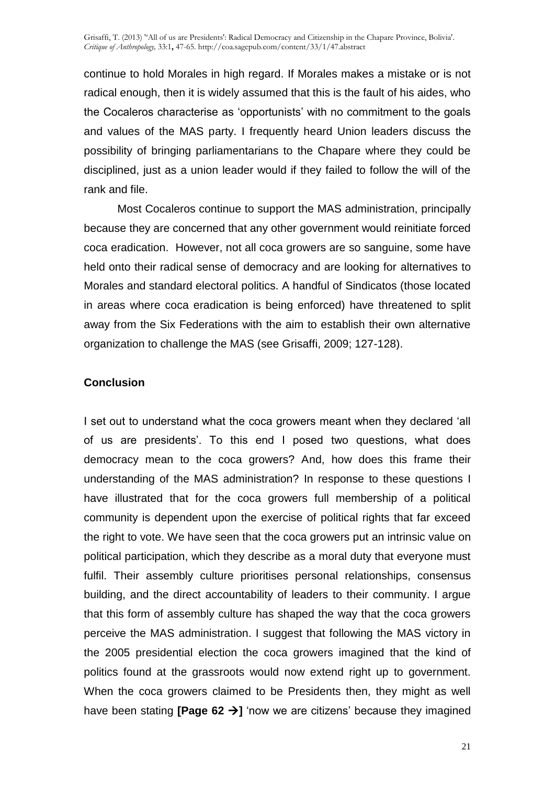continue to hold Morales in high regard. If Morales makes a mistake or is not radical enough, then it is widely assumed that this is the fault of his aides, who the Cocaleros characterise as 'opportunists' with no commitment to the goals and values of the MAS party. I frequently heard Union leaders discuss the possibility of bringing parliamentarians to the Chapare where they could be disciplined, just as a union leader would if they failed to follow the will of the rank and file.

Most Cocaleros continue to support the MAS administration, principally because they are concerned that any other government would reinitiate forced coca eradication. However, not all coca growers are so sanguine, some have held onto their radical sense of democracy and are looking for alternatives to Morales and standard electoral politics. A handful of Sindicatos (those located in areas where coca eradication is being enforced) have threatened to split away from the Six Federations with the aim to establish their own alternative organization to challenge the MAS (see Grisaffi, 2009; 127-128).

#### **Conclusion**

I set out to understand what the coca growers meant when they declared 'all of us are presidents'. To this end I posed two questions, what does democracy mean to the coca growers? And, how does this frame their understanding of the MAS administration? In response to these questions I have illustrated that for the coca growers full membership of a political community is dependent upon the exercise of political rights that far exceed the right to vote. We have seen that the coca growers put an intrinsic value on political participation, which they describe as a moral duty that everyone must fulfil. Their assembly culture prioritises personal relationships, consensus building, and the direct accountability of leaders to their community. I argue that this form of assembly culture has shaped the way that the coca growers perceive the MAS administration. I suggest that following the MAS victory in the 2005 presidential election the coca growers imagined that the kind of politics found at the grassroots would now extend right up to government. When the coca growers claimed to be Presidents then, they might as well have been stating **[Page 62 ]** 'now we are citizens' because they imagined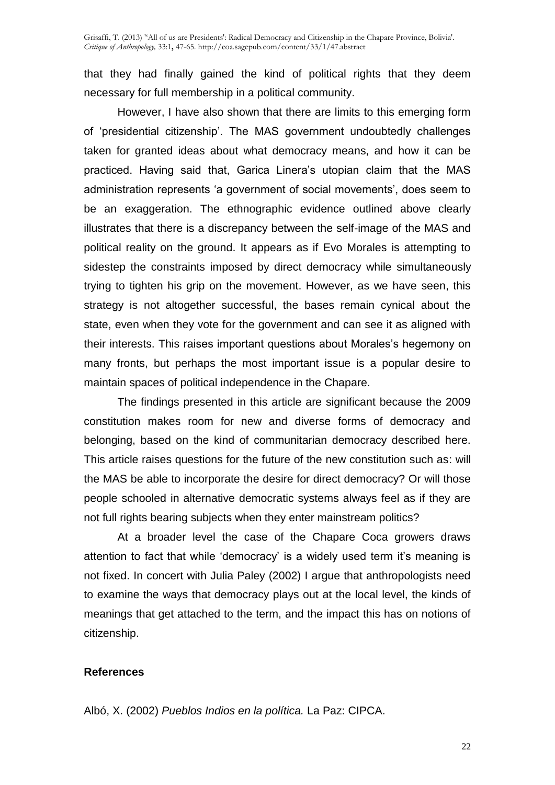that they had finally gained the kind of political rights that they deem necessary for full membership in a political community.

However, I have also shown that there are limits to this emerging form of 'presidential citizenship'. The MAS government undoubtedly challenges taken for granted ideas about what democracy means, and how it can be practiced. Having said that, Garica Linera's utopian claim that the MAS administration represents 'a government of social movements', does seem to be an exaggeration. The ethnographic evidence outlined above clearly illustrates that there is a discrepancy between the self-image of the MAS and political reality on the ground. It appears as if Evo Morales is attempting to sidestep the constraints imposed by direct democracy while simultaneously trying to tighten his grip on the movement. However, as we have seen, this strategy is not altogether successful, the bases remain cynical about the state, even when they vote for the government and can see it as aligned with their interests. This raises important questions about Morales's hegemony on many fronts, but perhaps the most important issue is a popular desire to maintain spaces of political independence in the Chapare.

The findings presented in this article are significant because the 2009 constitution makes room for new and diverse forms of democracy and belonging, based on the kind of communitarian democracy described here. This article raises questions for the future of the new constitution such as: will the MAS be able to incorporate the desire for direct democracy? Or will those people schooled in alternative democratic systems always feel as if they are not full rights bearing subjects when they enter mainstream politics?

At a broader level the case of the Chapare Coca growers draws attention to fact that while 'democracy' is a widely used term it's meaning is not fixed. In concert with Julia Paley (2002) I argue that anthropologists need to examine the ways that democracy plays out at the local level, the kinds of meanings that get attached to the term, and the impact this has on notions of citizenship.

#### **References**

Albó, X. (2002) *Pueblos Indios en la política.* La Paz: CIPCA.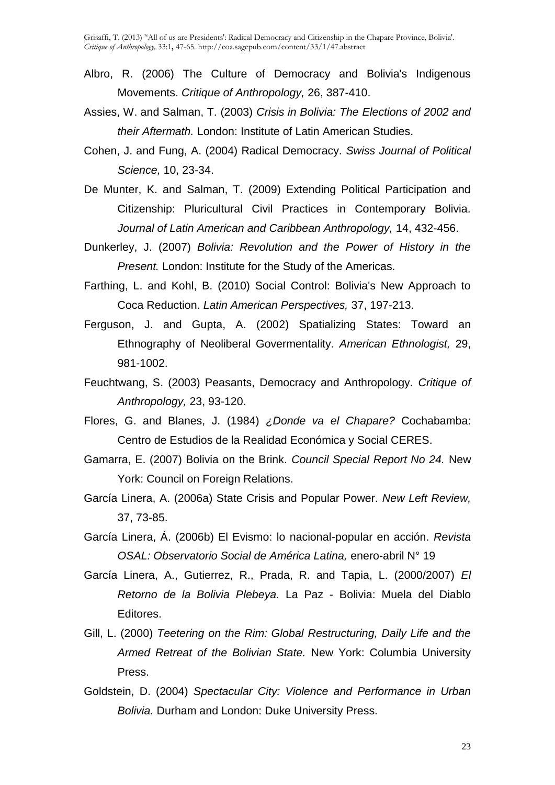- Albro, R. (2006) The Culture of Democracy and Bolivia's Indigenous Movements. *Critique of Anthropology,* 26, 387-410.
- Assies, W. and Salman, T. (2003) *Crisis in Bolivia: The Elections of 2002 and their Aftermath.* London: Institute of Latin American Studies.
- Cohen, J. and Fung, A. (2004) Radical Democracy. *Swiss Journal of Political Science,* 10, 23-34.
- De Munter, K. and Salman, T. (2009) Extending Political Participation and Citizenship: Pluricultural Civil Practices in Contemporary Bolivia. *Journal of Latin American and Caribbean Anthropology,* 14, 432-456.
- Dunkerley, J. (2007) *Bolivia: Revolution and the Power of History in the Present.* London: Institute for the Study of the Americas.
- Farthing, L. and Kohl, B. (2010) Social Control: Bolivia's New Approach to Coca Reduction. *Latin American Perspectives,* 37, 197-213.
- Ferguson, J. and Gupta, A. (2002) Spatializing States: Toward an Ethnography of Neoliberal Govermentality. *American Ethnologist,* 29, 981-1002.
- Feuchtwang, S. (2003) Peasants, Democracy and Anthropology. *Critique of Anthropology,* 23, 93-120.
- Flores, G. and Blanes, J. (1984) *¿Donde va el Chapare?* Cochabamba: Centro de Estudios de la Realidad Económica y Social CERES.
- Gamarra, E. (2007) Bolivia on the Brink. *Council Special Report No 24.* New York: Council on Foreign Relations.
- García Linera, A. (2006a) State Crisis and Popular Power. *New Left Review,* 37, 73-85.
- García Linera, Á. (2006b) El Evismo: lo nacional-popular en acción. *Revista OSAL: Observatorio Social de América Latina,* enero-abril N° 19
- García Linera, A., Gutierrez, R., Prada, R. and Tapia, L. (2000/2007) *El Retorno de la Bolivia Plebeya.* La Paz - Bolivia: Muela del Diablo Editores.
- Gill, L. (2000) *Teetering on the Rim: Global Restructuring, Daily Life and the Armed Retreat of the Bolivian State.* New York: Columbia University Press.
- Goldstein, D. (2004) *Spectacular City: Violence and Performance in Urban Bolivia.* Durham and London: Duke University Press.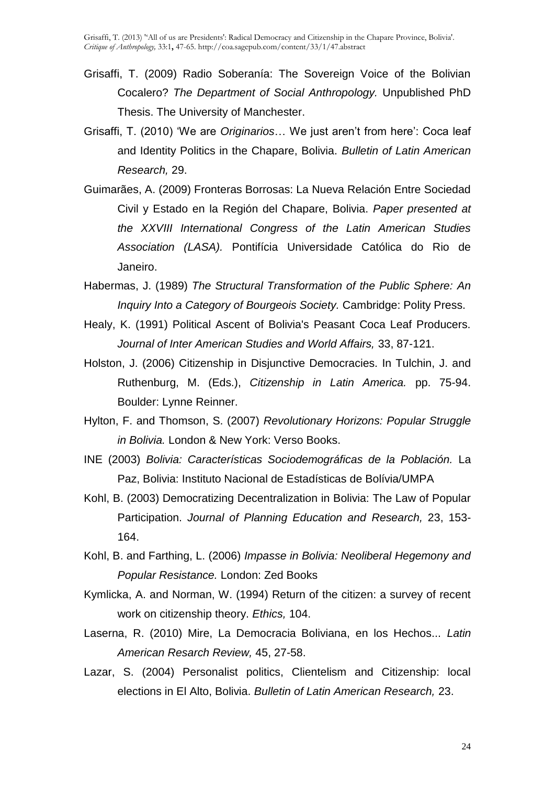- Grisaffi, T. (2009) Radio Soberanía: The Sovereign Voice of the Bolivian Cocalero? *The Department of Social Anthropology.* Unpublished PhD Thesis. The University of Manchester.
- Grisaffi, T. (2010) 'We are *Originarios*… We just aren't from here': Coca leaf and Identity Politics in the Chapare, Bolivia. *Bulletin of Latin American Research,* 29.
- Guimarães, A. (2009) Fronteras Borrosas: La Nueva Relación Entre Sociedad Civil y Estado en la Región del Chapare, Bolivia. *Paper presented at the XXVIII International Congress of the Latin American Studies Association (LASA).* Pontifícia Universidade Católica do Rio de Janeiro.
- Habermas, J. (1989) *The Structural Transformation of the Public Sphere: An Inquiry Into a Category of Bourgeois Society.* Cambridge: Polity Press.
- Healy, K. (1991) Political Ascent of Bolivia's Peasant Coca Leaf Producers. *Journal of Inter American Studies and World Affairs,* 33, 87-121.
- Holston, J. (2006) Citizenship in Disjunctive Democracies. In Tulchin, J. and Ruthenburg, M. (Eds.), *Citizenship in Latin America.* pp. 75-94. Boulder: Lynne Reinner.
- Hylton, F. and Thomson, S. (2007) *Revolutionary Horizons: Popular Struggle in Bolivia.* London & New York: Verso Books.
- INE (2003) *Bolivia: Características Sociodemográficas de la Población.* La Paz, Bolivia: Instituto Nacional de Estadísticas de Bolívia/UMPA
- Kohl, B. (2003) Democratizing Decentralization in Bolivia: The Law of Popular Participation. *Journal of Planning Education and Research,* 23, 153- 164.
- Kohl, B. and Farthing, L. (2006) *Impasse in Bolivia: Neoliberal Hegemony and Popular Resistance.* London: Zed Books
- Kymlicka, A. and Norman, W. (1994) Return of the citizen: a survey of recent work on citizenship theory. *Ethics,* 104.
- Laserna, R. (2010) Mire, La Democracia Boliviana, en los Hechos... *Latin American Resarch Review,* 45, 27-58.
- Lazar, S. (2004) Personalist politics, Clientelism and Citizenship: local elections in El Alto, Bolivia. *Bulletin of Latin American Research,* 23.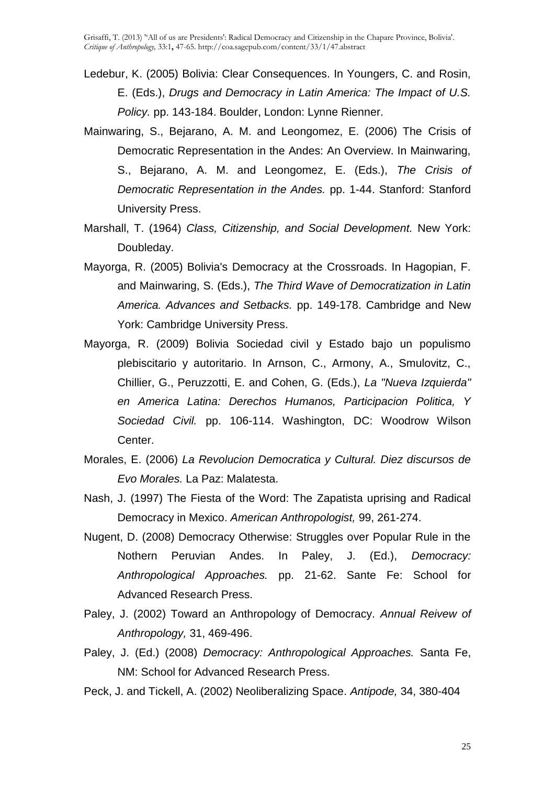Ledebur, K. (2005) Bolivia: Clear Consequences. In Youngers, C. and Rosin, E. (Eds.), *Drugs and Democracy in Latin America: The Impact of U.S. Policy.* pp. 143-184. Boulder, London: Lynne Rienner.

- Mainwaring, S., Bejarano, A. M. and Leongomez, E. (2006) The Crisis of Democratic Representation in the Andes: An Overview. In Mainwaring, S., Bejarano, A. M. and Leongomez, E. (Eds.), *The Crisis of Democratic Representation in the Andes.* pp. 1-44. Stanford: Stanford University Press.
- Marshall, T. (1964) *Class, Citizenship, and Social Development.* New York: Doubleday.
- Mayorga, R. (2005) Bolivia's Democracy at the Crossroads. In Hagopian, F. and Mainwaring, S. (Eds.), *The Third Wave of Democratization in Latin America. Advances and Setbacks.* pp. 149-178. Cambridge and New York: Cambridge University Press.
- Mayorga, R. (2009) Bolivia Sociedad civil y Estado bajo un populismo plebiscitario y autoritario. In Arnson, C., Armony, A., Smulovitz, C., Chillier, G., Peruzzotti, E. and Cohen, G. (Eds.), *La "Nueva Izquierda" en America Latina: Derechos Humanos, Participacion Politica, Y Sociedad Civil.* pp. 106-114. Washington, DC: Woodrow Wilson Center.
- Morales, E. (2006) *La Revolucion Democratica y Cultural. Diez discursos de Evo Morales.* La Paz: Malatesta.
- Nash, J. (1997) The Fiesta of the Word: The Zapatista uprising and Radical Democracy in Mexico. *American Anthropologist,* 99, 261-274.
- Nugent, D. (2008) Democracy Otherwise: Struggles over Popular Rule in the Nothern Peruvian Andes. In Paley, J. (Ed.), *Democracy: Anthropological Approaches.* pp. 21-62. Sante Fe: School for Advanced Research Press.
- Paley, J. (2002) Toward an Anthropology of Democracy. *Annual Reivew of Anthropology,* 31, 469-496.
- Paley, J. (Ed.) (2008) *Democracy: Anthropological Approaches.* Santa Fe, NM: School for Advanced Research Press.
- Peck, J. and Tickell, A. (2002) Neoliberalizing Space. *Antipode,* 34, 380-404